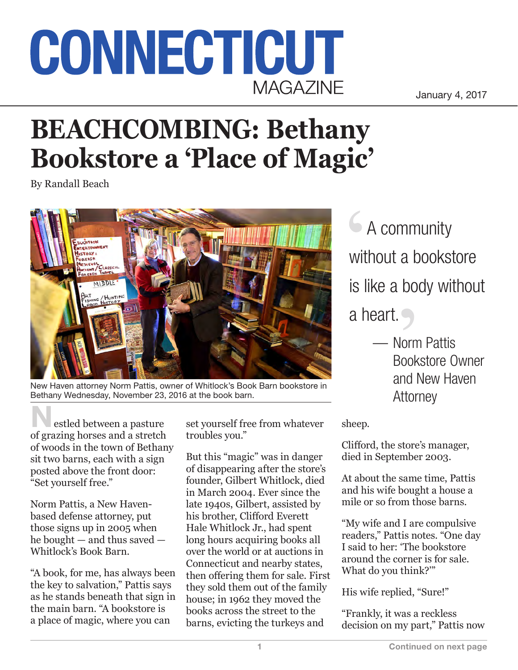## CONNECTICUT **MAGAZINE**

January 4, 2017

## **BEACHCOMBING: Bethany Bookstore a 'Place of Magic'**

By Randall Beach



New Haven attorney Norm Pattis, owner of Whitlock's Book Barn bookstore in Bethany Wednesday, November 23, 2016 at the book barn.

estled between a pasture of grazing horses and a stretch of woods in the town of Bethany sit two barns, each with a sign posted above the front door: "Set yourself free."

Norm Pattis, a New Havenbased defense attorney, put those signs up in 2005 when he bought — and thus saved — Whitlock's Book Barn.

"A book, for me, has always been the key to salvation," Pattis says as he stands beneath that sign in the main barn. "A bookstore is a place of magic, where you can

set yourself free from whatever troubles you."

But this "magic" was in danger of disappearing after the store's founder, Gilbert Whitlock, died in March 2004. Ever since the late 1940s, Gilbert, assisted by his brother, Clifford Everett Hale Whitlock Jr., had spent long hours acquiring books all over the world or at auctions in Connecticut and nearby states, then offering them for sale. First they sold them out of the family house; in 1962 they moved the books across the street to the barns, evicting the turkeys and

**6 A community** without a bookstore is like a body without a heart.

> — Norm Pattis Bookstore Owner and New Haven Attorney

sheep.

Clifford, the store's manager, died in September 2003.

At about the same time, Pattis and his wife bought a house a mile or so from those barns.

"My wife and I are compulsive readers," Pattis notes. "One day I said to her: 'The bookstore around the corner is for sale. What do you think?'"

His wife replied, "Sure!"

"Frankly, it was a reckless decision on my part," Pattis now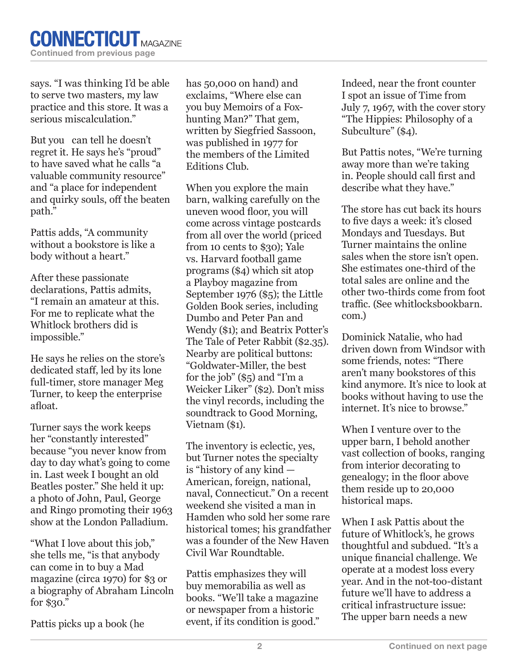says. "I was thinking I'd be able to serve two masters, my law practice and this store. It was a serious miscalculation."

But you can tell he doesn't regret it. He says he's "proud" to have saved what he calls "a valuable community resource" and "a place for independent and quirky souls, off the beaten path."

Pattis adds, "A community without a bookstore is like a body without a heart."

After these passionate declarations, Pattis admits, "I remain an amateur at this. For me to replicate what the Whitlock brothers did is impossible."

He says he relies on the store's dedicated staff, led by its lone full-timer, store manager Meg Turner, to keep the enterprise afloat.

Turner says the work keeps her "constantly interested" because "you never know from day to day what's going to come in. Last week I bought an old Beatles poster." She held it up: a photo of John, Paul, George and Ringo promoting their 1963 show at the London Palladium.

"What I love about this job," she tells me, "is that anybody can come in to buy a Mad magazine (circa 1970) for \$3 or a biography of Abraham Lincoln for \$30."

Pattis picks up a book (he

has 50,000 on hand) and exclaims, "Where else can you buy Memoirs of a Foxhunting Man?" That gem, written by Siegfried Sassoon, was published in 1977 for the members of the Limited Editions Club.

When you explore the main barn, walking carefully on the uneven wood floor, you will come across vintage postcards from all over the world (priced from 10 cents to \$30); Yale vs. Harvard football game programs (\$4) which sit atop a Playboy magazine from September 1976 (\$5); the Little Golden Book series, including Dumbo and Peter Pan and Wendy (\$1); and Beatrix Potter's The Tale of Peter Rabbit (\$2.35). Nearby are political buttons: "Goldwater-Miller, the best for the job" (\$5) and "I'm a Weicker Liker" (\$2). Don't miss the vinyl records, including the soundtrack to Good Morning, Vietnam (\$1).

The inventory is eclectic, yes, but Turner notes the specialty is "history of any kind — American, foreign, national, naval, Connecticut." On a recent weekend she visited a man in Hamden who sold her some rare historical tomes; his grandfather was a founder of the New Haven Civil War Roundtable.

Pattis emphasizes they will buy memorabilia as well as books. "We'll take a magazine or newspaper from a historic event, if its condition is good." Indeed, near the front counter I spot an issue of Time from July 7, 1967, with the cover story "The Hippies: Philosophy of a Subculture" (\$4).

But Pattis notes, "We're turning away more than we're taking in. People should call first and describe what they have."

The store has cut back its hours to five days a week: it's closed Mondays and Tuesdays. But Turner maintains the online sales when the store isn't open. She estimates one-third of the total sales are online and the other two-thirds come from foot traffic. (See whitlocksbookbarn. com.)

Dominick Natalie, who had driven down from Windsor with some friends, notes: "There aren't many bookstores of this kind anymore. It's nice to look at books without having to use the internet. It's nice to browse."

When I venture over to the upper barn, I behold another vast collection of books, ranging from interior decorating to genealogy; in the floor above them reside up to 20,000 historical maps.

When I ask Pattis about the future of Whitlock's, he grows thoughtful and subdued. "It's a unique financial challenge. We operate at a modest loss every year. And in the not-too-distant future we'll have to address a critical infrastructure issue: The upper barn needs a new